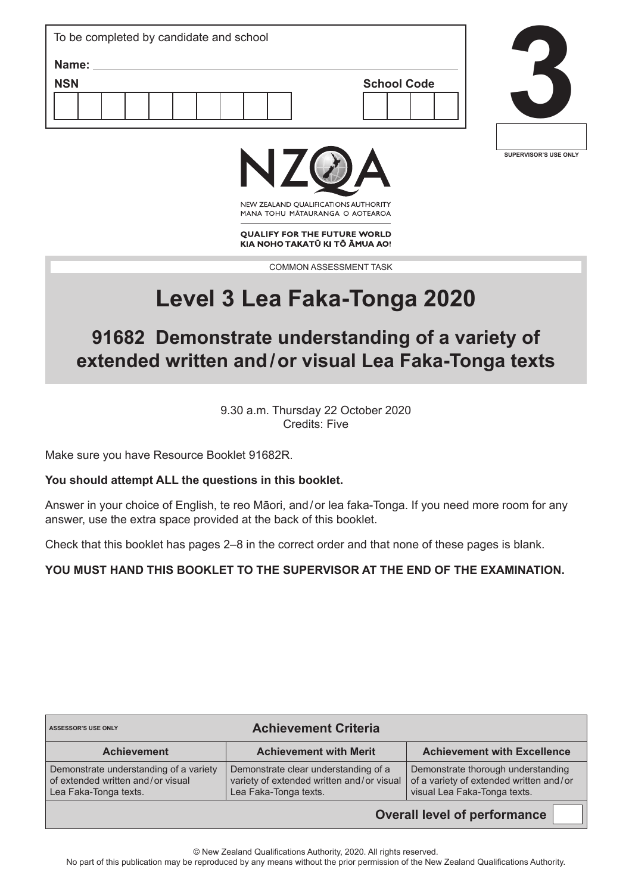| To be completed by candidate and school |  |
|-----------------------------------------|--|
| Name:                                   |  |
| <b>NSN</b><br><b>School Code</b>        |  |
|                                         |  |
|                                         |  |
|                                         |  |





NEW ZEALAND OUALIFICATIONS AUTHORITY MANA TOHU MATAURANGA O AOTEAROA

**QUALIFY FOR THE FUTURE WORLD** KIA NOHO TAKATŪ KI TŌ ĀMUA AO!

COMMON ASSESSMENT TASK

# **Level 3 Lea Faka-Tonga 2020**

# **91682 Demonstrate understanding of a variety of extended written and/or visual Lea Faka-Tonga texts**

9.30 a.m. Thursday 22 October 2020 Credits: Five

Make sure you have Resource Booklet 91682R.

# **You should attempt ALL the questions in this booklet.**

Answer in your choice of English, te reo Māori, and/or lea faka-Tonga. If you need more room for any answer, use the extra space provided at the back of this booklet.

Check that this booklet has pages 2–8 in the correct order and that none of these pages is blank.

# **YOU MUST HAND THIS BOOKLET TO THE SUPERVISOR AT THE END OF THE EXAMINATION.**

| <b>Achievement Criteria</b><br><b>ASSESSOR'S USE ONLY</b>                                            |                                                                                                            |                                                                                                               |
|------------------------------------------------------------------------------------------------------|------------------------------------------------------------------------------------------------------------|---------------------------------------------------------------------------------------------------------------|
| <b>Achievement</b>                                                                                   | <b>Achievement with Merit</b>                                                                              | <b>Achievement with Excellence</b>                                                                            |
| Demonstrate understanding of a variety<br>of extended written and/or visual<br>Lea Faka-Tonga texts. | Demonstrate clear understanding of a<br>variety of extended written and/or visual<br>Lea Faka-Tonga texts. | Demonstrate thorough understanding<br>of a variety of extended written and/or<br>visual Lea Faka-Tonga texts. |

**Overall level of performance**

© New Zealand Qualifications Authority, 2020. All rights reserved.

No part of this publication may be reproduced by any means without the prior permission of the New Zealand Qualifications Authority.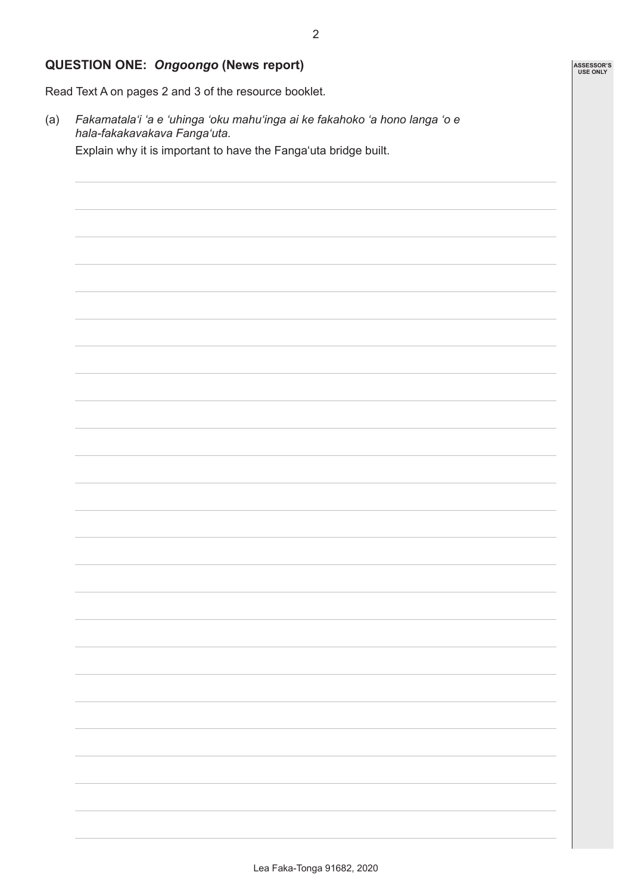### **QUESTION ONE:** *Ongoongo* **(News report)**

Read Text A on pages 2 and 3 of the resource booklet.

(a) *Fakamatalaʻi 'a e 'uhinga 'oku mahuʻinga ai ke fakahoko 'a hono langa 'o e hala-fakakavakava Fanga'uta.* Explain why it is important to have the Fangaʻuta bridge built.

**ASSESSOR'S USE ONLY**

2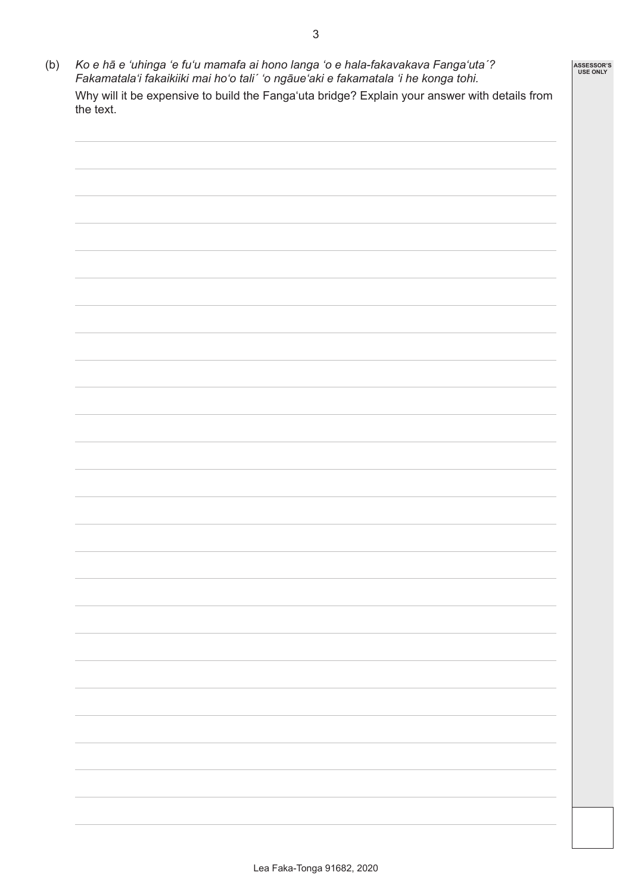(b) *Ko e hā e 'uhinga 'e fu'u mamafa ai hono langa 'o e hala-fakavakava Fangaʻutaˊ? Fakamatala'i fakaikiiki mai ho'o taliˊ 'o ngāue'aki e fakamatala 'i he konga tohi.* Why will it be expensive to build the Fangaʻuta bridge? Explain your answer with details from the text. **ASSESSOR'S USE ONLY**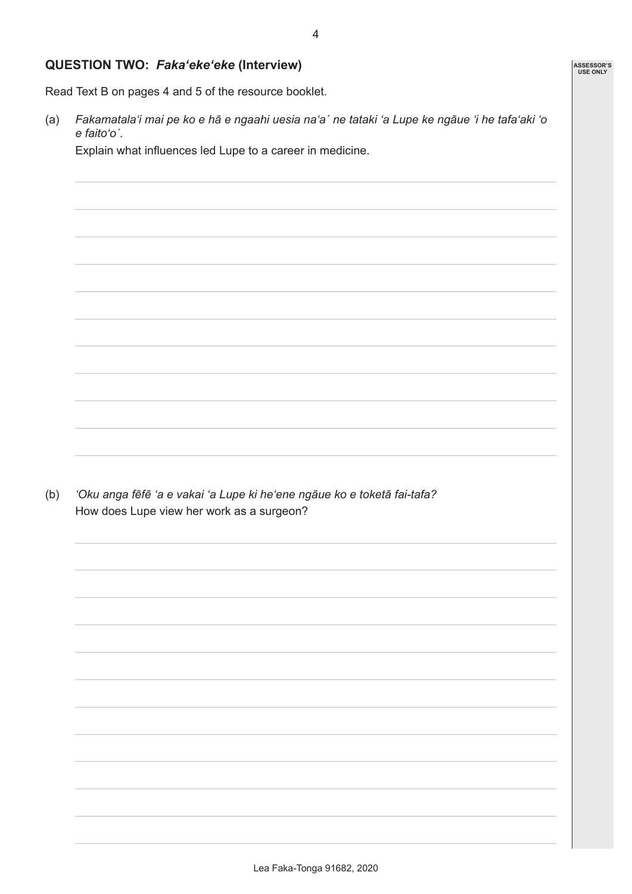#### **QUESTION TWO:** *Fakaʻekeʻeke* **(Interview)**

Read Text B on pages 4 and 5 of the resource booklet.

(a) Fakamatala'i mai pe ko e hā e ngaahi uesia na'a' ne tataki 'a Lupe ke ngāue 'i he tafa'aki 'o *e faitoʻoˊ.*

Explain what influences led Lupe to a career in medicine.

(b) *ʻOku anga fēfē ʻa e vakai ʻa Lupe ki heʻene ngāue ko e toketā fai-tafa?* How does Lupe view her work as a surgeon?

**ASSESSOR'S USE ONLY**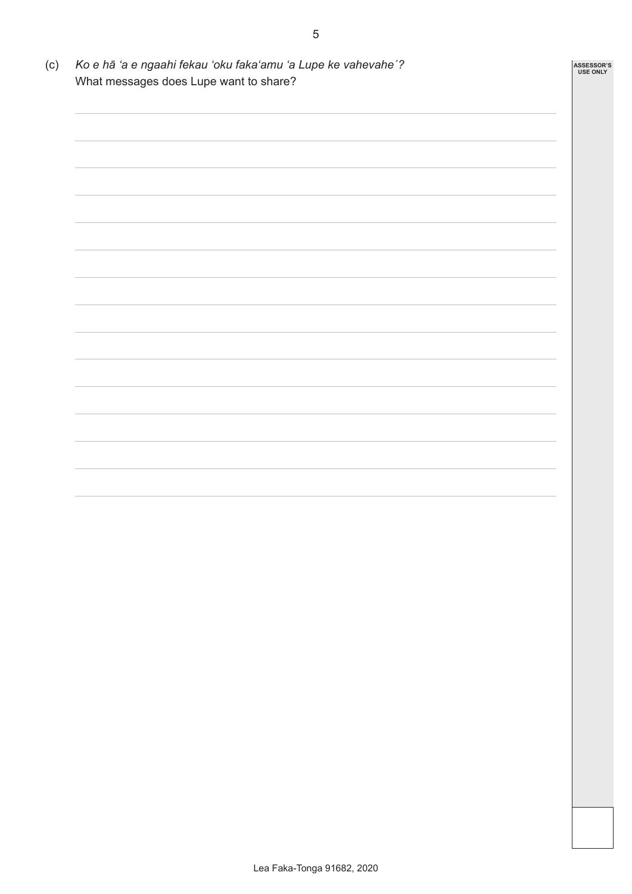(c) *Ko e hā 'a e ngaahi fekau 'oku fakaʻamu 'a Lupe ke vahevaheˊ?* What messages does Lupe want to share? **ASSESSOR'S USE ONLY**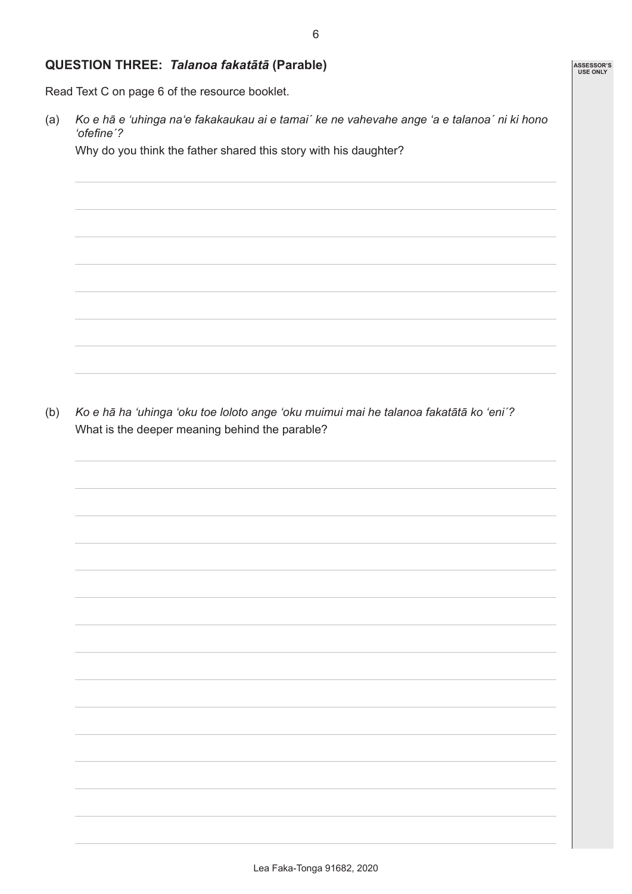#### **QUESTION THREE:** *Talanoa fakatātā* **(Parable)**

Read Text C on page 6 of the resource booklet.

(a) Ko e hā e 'uhinga na'e fakakaukau ai e tamai' ke ne vahevahe ange 'a e talanoa' ni ki hono *'ofefineˊ?*

Why do you think the father shared this story with his daughter?

(b) *Ko e hā ha 'uhinga 'oku toe loloto ange 'oku muimui mai he talanoa fakatātā ko ʻeniˊ?* What is the deeper meaning behind the parable?

**ASSESSOR'S USE ONLY**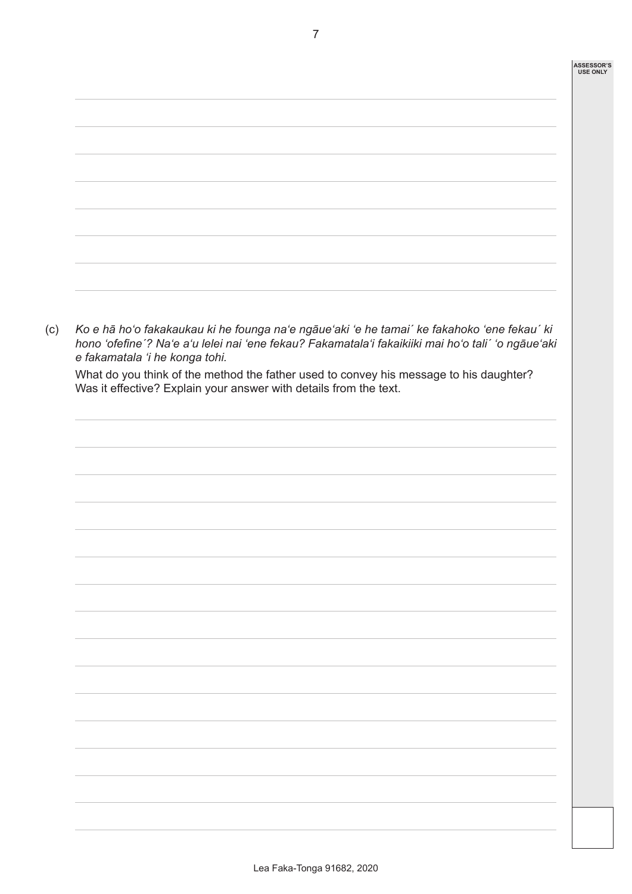

7